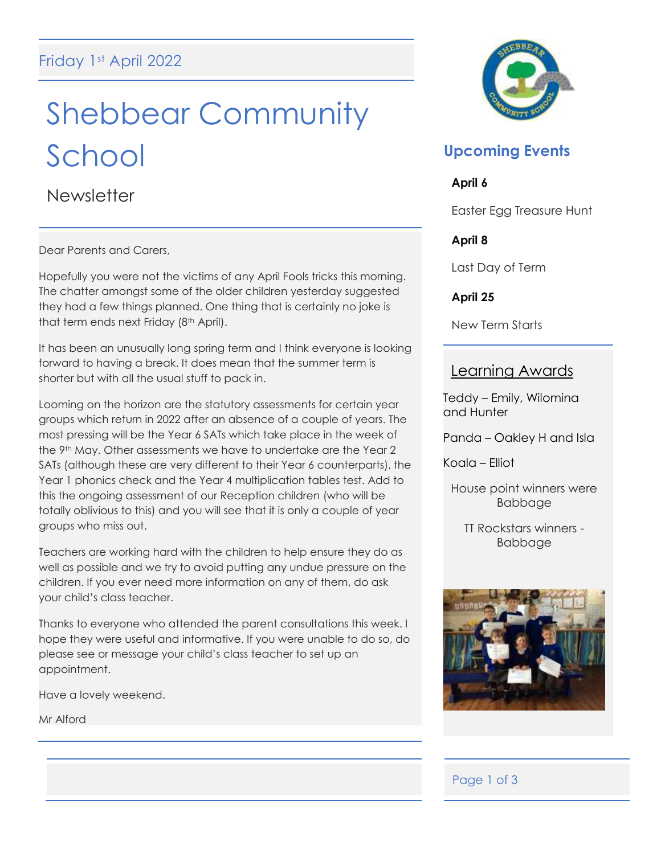# Shebbear Community School

**Newsletter** 

Dear Parents and Carers,

Hopefully you were not the victims of any April Fools tricks this morning. The chatter amongst some of the older children yesterday suggested they had a few things planned. One thing that is certainly no joke is that term ends next Friday (8<sup>th</sup> April).

It has been an unusually long spring term and I think everyone is looking forward to having a break. It does mean that the summer term is shorter but with all the usual stuff to pack in.

Looming on the horizon are the statutory assessments for certain year groups which return in 2022 after an absence of a couple of years. The most pressing will be the Year 6 SATs which take place in the week of the 9th May. Other assessments we have to undertake are the Year 2 SATs (although these are very different to their Year 6 counterparts), the Year 1 phonics check and the Year 4 multiplication tables test. Add to this the ongoing assessment of our Reception children (who will be totally oblivious to this) and you will see that it is only a couple of year groups who miss out.

Teachers are working hard with the children to help ensure they do as well as possible and we try to avoid putting any undue pressure on the children. If you ever need more information on any of them, do ask your child's class teacher.

Thanks to everyone who attended the parent consultations this week. I hope they were useful and informative. If you were unable to do so, do please see or message your child's class teacher to set up an appointment.

Have a lovely weekend.

Mr Alford



## **Upcoming Events**

## **April 6**

Easter Egg Treasure Hunt

## **April 8**

Last Day of Term

**April 25**

New Term Starts

## Learning Awards

Teddy – Emily, Wilomina and Hunter

Panda – Oakley H and Isla

Koala – Elliot

House point winners were Babbage

TT Rockstars winners - Babbage



## Page 1 of 3

 $\overline{a}$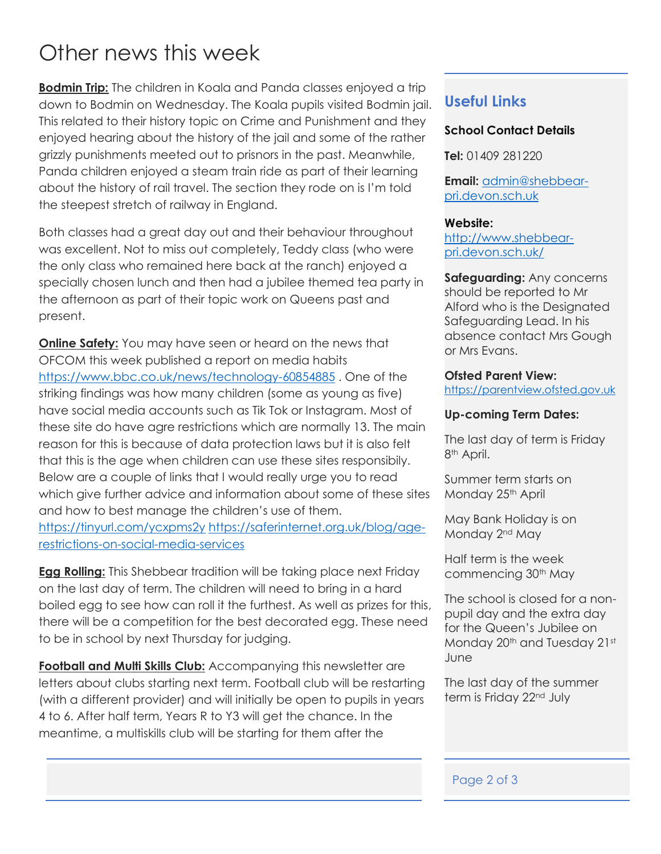## Other news this week

**Bodmin Trip:** The children in Koala and Panda classes enjoyed a trip down to Bodmin on Wednesday. The Koala pupils visited Bodmin jail. This related to their history topic on Crime and Punishment and they enjoyed hearing about the history of the jail and some of the rather grizzly punishments meeted out to prisnors in the past. Meanwhile, Panda children enjoyed a steam train ride as part of their learning about the history of rail travel. The section they rode on is I'm told the steepest stretch of railway in England.

Both classes had a great day out and their behaviour throughout was excellent. Not to miss out completely, Teddy class (who were the only class who remained here back at the ranch) enjoyed a specially chosen lunch and then had a jubilee themed tea party in the afternoon as part of their topic work on Queens past and present.

**Online Safety:** You may have seen or heard on the news that OFCOM this week published a report on media habits <https://www.bbc.co.uk/news/technology-60854885> . One of the striking findings was how many children (some as young as five) have social media accounts such as Tik Tok or Instagram. Most of these site do have agre restrictions which are normally 13. The main reason for this is because of data protection laws but it is also felt that this is the age when children can use these sites responsibily. Below are a couple of links that I would really urge you to read which give further advice and information about some of these sites and how to best manage the children's use of them.

<https://tinyurl.com/ycxpms2y> [https://saferinternet.org.uk/blog/age](https://saferinternet.org.uk/blog/age-restrictions-on-social-media-services)[restrictions-on-social-media-services](https://saferinternet.org.uk/blog/age-restrictions-on-social-media-services)

**Egg Rolling:** This Shebbear tradition will be taking place next Friday on the last day of term. The children will need to bring in a hard boiled egg to see how can roll it the furthest. As well as prizes for this, there will be a competition for the best decorated egg. These need to be in school by next Thursday for judging.

**Football and Multi Skills Club:** Accompanying this newsletter are letters about clubs starting next term. Football club will be restarting (with a different provider) and will initially be open to pupils in years 4 to 6. After half term, Years R to Y3 will get the chance. In the meantime, a multiskills club will be starting for them after the

## **Useful Links**

### **School Contact Details**

**Tel:** 01409 281220

**Email:** [admin@shebbear](mailto:admin@shebbear-pri.devon.sch.uk)[pri.devon.sch.uk](mailto:admin@shebbear-pri.devon.sch.uk)

#### **Website:**

[http://www.shebbear](http://www.shebbear-pri.devon.sch.uk/)[pri.devon.sch.uk/](http://www.shebbear-pri.devon.sch.uk/)

**Safeguarding:** Any concerns should be reported to Mr Alford who is the Designated Safeguarding Lead. In his absence contact Mrs Gough or Mrs Evans.

#### **Ofsted Parent View:**

[https://parentview.ofsted.gov.uk](https://parentview.ofsted.gov.uk/)

#### **Up-coming Term Dates:**

The last day of term is Friday 8th April.

Summer term starts on Monday 25<sup>th</sup> April

May Bank Holiday is on Monday 2<sup>nd</sup> May

Half term is the week commencing 30th May

The school is closed for a nonpupil day and the extra day for the Queen's Jubilee on Monday 20<sup>th</sup> and Tuesday 21st June

The last day of the summer term is Friday 22<sup>nd</sup> July

#### Page 2 of 3